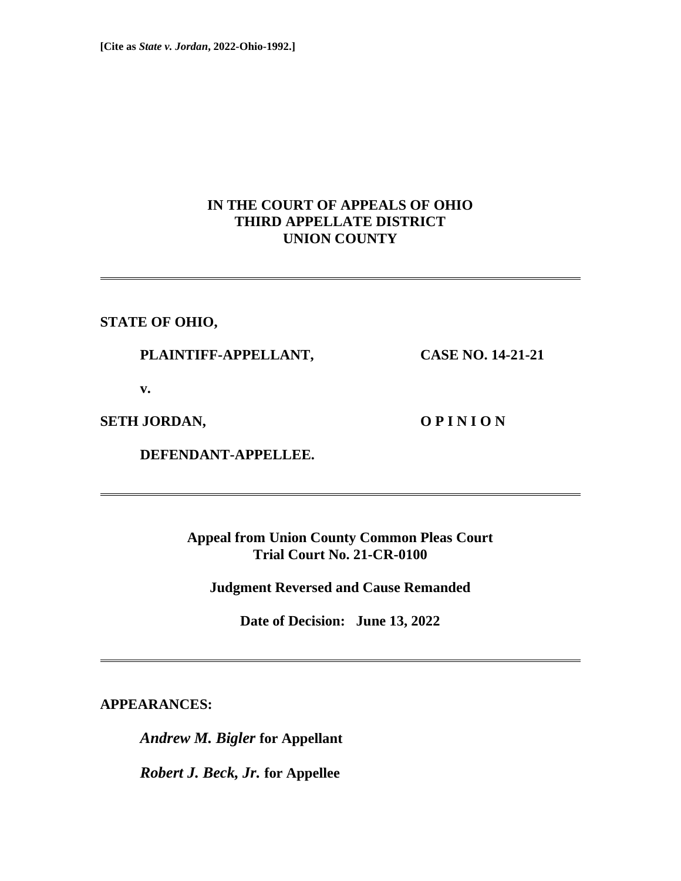## **IN THE COURT OF APPEALS OF OHIO THIRD APPELLATE DISTRICT UNION COUNTY**

**STATE OF OHIO,**

 **PLAINTIFF-APPELLANT, CASE NO. 14-21-21**

 **v.**

**SETH JORDAN, COPINION** 

 **DEFENDANT-APPELLEE.**

**Appeal from Union County Common Pleas Court Trial Court No. 21-CR-0100**

**Judgment Reversed and Cause Remanded**

**Date of Decision: June 13, 2022**

**APPEARANCES:**

*Andrew M. Bigler* **for Appellant**

*Robert J. Beck, Jr.* **for Appellee**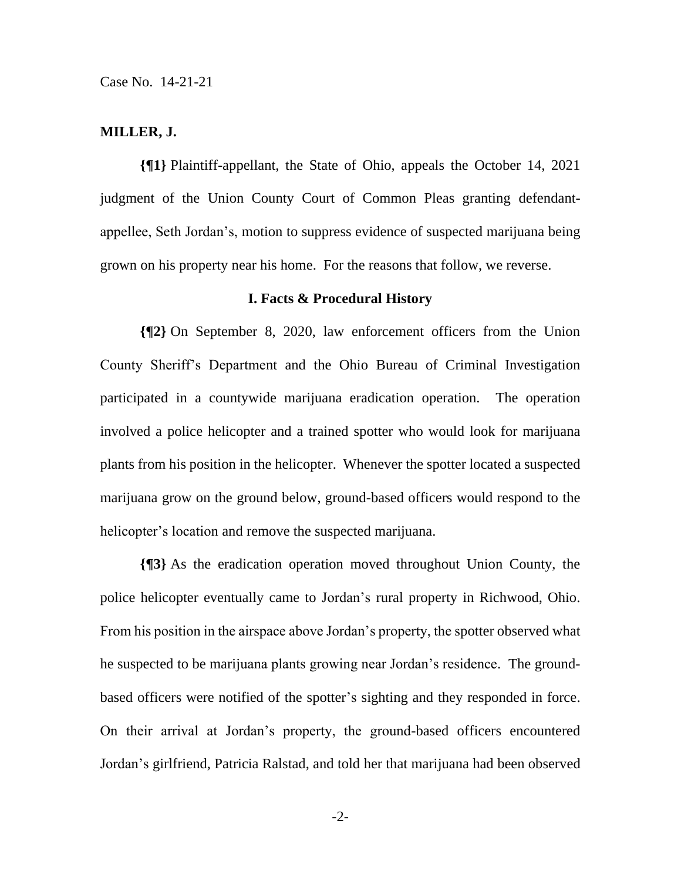#### **MILLER, J.**

**{¶1}** Plaintiff-appellant, the State of Ohio, appeals the October 14, 2021 judgment of the Union County Court of Common Pleas granting defendantappellee, Seth Jordan's, motion to suppress evidence of suspected marijuana being grown on his property near his home. For the reasons that follow, we reverse.

#### **I. Facts & Procedural History**

**{¶2}** On September 8, 2020, law enforcement officers from the Union County Sheriff's Department and the Ohio Bureau of Criminal Investigation participated in a countywide marijuana eradication operation. The operation involved a police helicopter and a trained spotter who would look for marijuana plants from his position in the helicopter. Whenever the spotter located a suspected marijuana grow on the ground below, ground-based officers would respond to the helicopter's location and remove the suspected marijuana.

**{¶3}** As the eradication operation moved throughout Union County, the police helicopter eventually came to Jordan's rural property in Richwood, Ohio. From his position in the airspace above Jordan's property, the spotter observed what he suspected to be marijuana plants growing near Jordan's residence. The groundbased officers were notified of the spotter's sighting and they responded in force. On their arrival at Jordan's property, the ground-based officers encountered Jordan's girlfriend, Patricia Ralstad, and told her that marijuana had been observed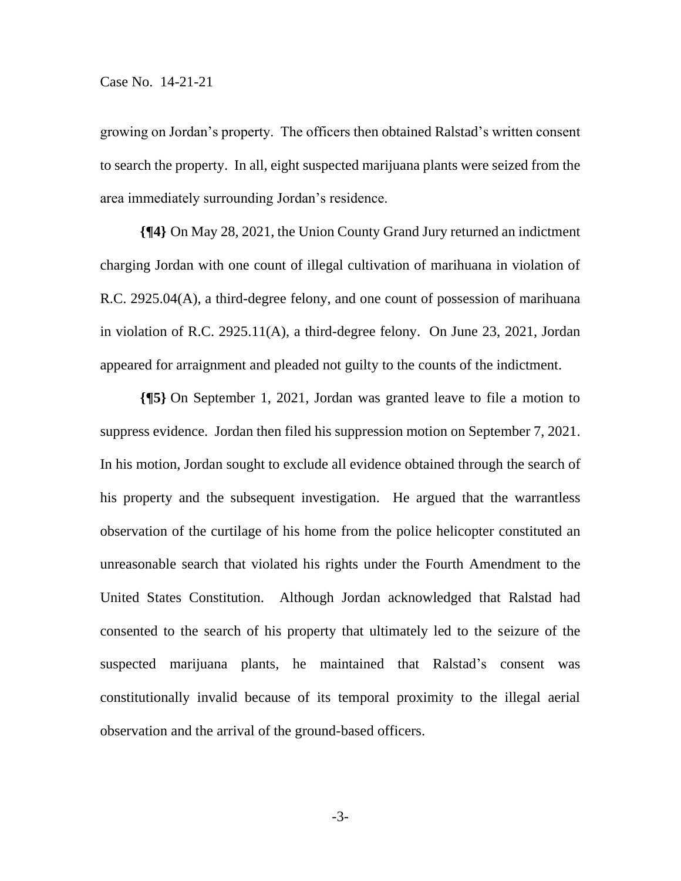growing on Jordan's property. The officers then obtained Ralstad's written consent to search the property. In all, eight suspected marijuana plants were seized from the area immediately surrounding Jordan's residence.

**{¶4}** On May 28, 2021, the Union County Grand Jury returned an indictment charging Jordan with one count of illegal cultivation of marihuana in violation of R.C. 2925.04(A), a third-degree felony, and one count of possession of marihuana in violation of R.C. 2925.11(A), a third-degree felony. On June 23, 2021, Jordan appeared for arraignment and pleaded not guilty to the counts of the indictment.

**{¶5}** On September 1, 2021, Jordan was granted leave to file a motion to suppress evidence. Jordan then filed his suppression motion on September 7, 2021. In his motion, Jordan sought to exclude all evidence obtained through the search of his property and the subsequent investigation. He argued that the warrantless observation of the curtilage of his home from the police helicopter constituted an unreasonable search that violated his rights under the Fourth Amendment to the United States Constitution. Although Jordan acknowledged that Ralstad had consented to the search of his property that ultimately led to the seizure of the suspected marijuana plants, he maintained that Ralstad's consent was constitutionally invalid because of its temporal proximity to the illegal aerial observation and the arrival of the ground-based officers.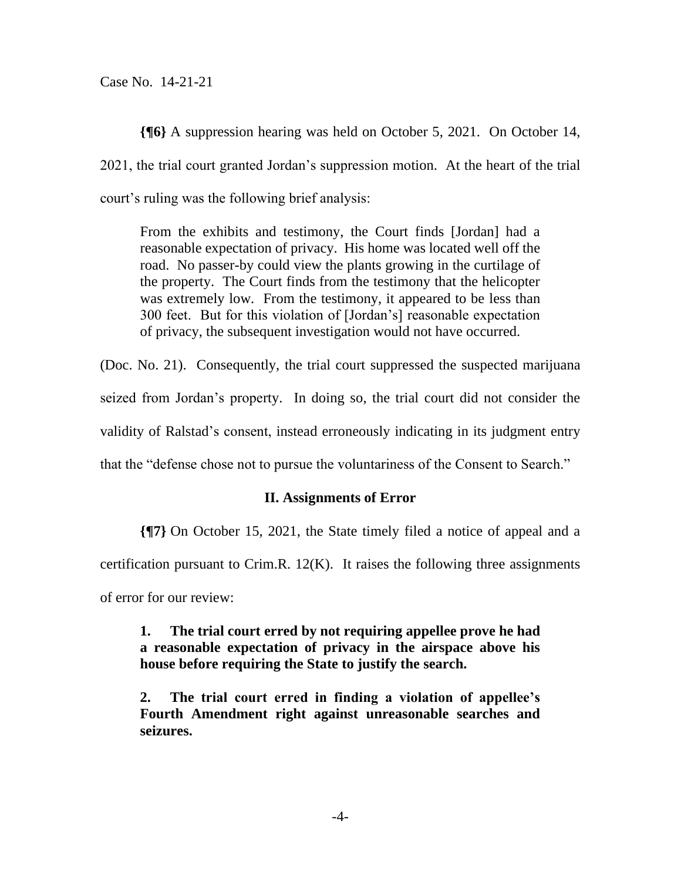**{¶6}** A suppression hearing was held on October 5, 2021. On October 14, 2021, the trial court granted Jordan's suppression motion. At the heart of the trial court's ruling was the following brief analysis:

From the exhibits and testimony, the Court finds [Jordan] had a reasonable expectation of privacy. His home was located well off the road. No passer-by could view the plants growing in the curtilage of the property. The Court finds from the testimony that the helicopter was extremely low. From the testimony, it appeared to be less than 300 feet. But for this violation of [Jordan's] reasonable expectation of privacy, the subsequent investigation would not have occurred.

(Doc. No. 21). Consequently, the trial court suppressed the suspected marijuana seized from Jordan's property. In doing so, the trial court did not consider the validity of Ralstad's consent, instead erroneously indicating in its judgment entry that the "defense chose not to pursue the voluntariness of the Consent to Search."

## **II. Assignments of Error**

**{¶7}** On October 15, 2021, the State timely filed a notice of appeal and a certification pursuant to Crim.R.  $12(K)$ . It raises the following three assignments of error for our review:

**1. The trial court erred by not requiring appellee prove he had a reasonable expectation of privacy in the airspace above his house before requiring the State to justify the search.**

**2. The trial court erred in finding a violation of appellee's Fourth Amendment right against unreasonable searches and seizures.**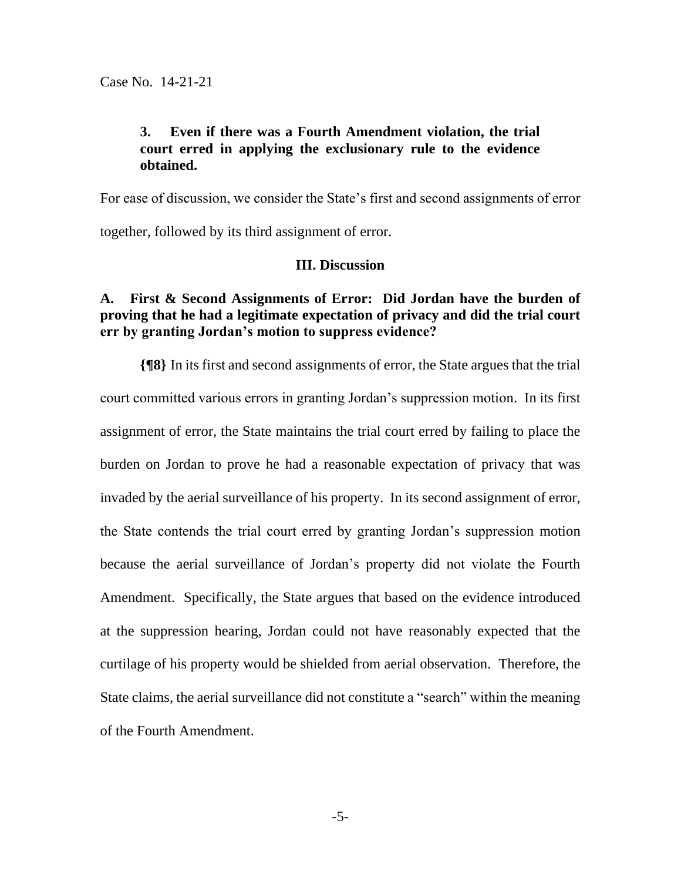## **3. Even if there was a Fourth Amendment violation, the trial court erred in applying the exclusionary rule to the evidence obtained.**

For ease of discussion, we consider the State's first and second assignments of error

together, followed by its third assignment of error.

## **III. Discussion**

## **A. First & Second Assignments of Error: Did Jordan have the burden of proving that he had a legitimate expectation of privacy and did the trial court err by granting Jordan's motion to suppress evidence?**

**{¶8}** In its first and second assignments of error, the State argues that the trial court committed various errors in granting Jordan's suppression motion. In its first assignment of error, the State maintains the trial court erred by failing to place the burden on Jordan to prove he had a reasonable expectation of privacy that was invaded by the aerial surveillance of his property. In its second assignment of error, the State contends the trial court erred by granting Jordan's suppression motion because the aerial surveillance of Jordan's property did not violate the Fourth Amendment. Specifically, the State argues that based on the evidence introduced at the suppression hearing, Jordan could not have reasonably expected that the curtilage of his property would be shielded from aerial observation. Therefore, the State claims, the aerial surveillance did not constitute a "search" within the meaning of the Fourth Amendment.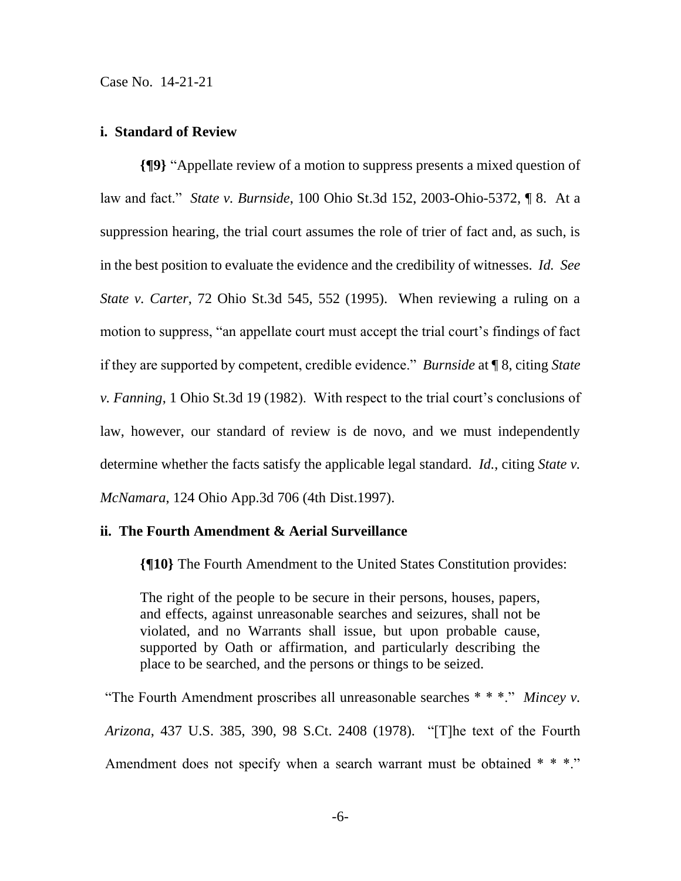#### **i. Standard of Review**

**{¶9}** "Appellate review of a motion to suppress presents a mixed question of law and fact." *State v. Burnside*, 100 Ohio St.3d 152, 2003-Ohio-5372, ¶ 8. At a suppression hearing, the trial court assumes the role of trier of fact and, as such, is in the best position to evaluate the evidence and the credibility of witnesses. *Id. See State v. Carter*, 72 Ohio St.3d 545, 552 (1995). When reviewing a ruling on a motion to suppress, "an appellate court must accept the trial court's findings of fact if they are supported by competent, credible evidence." *Burnside* at ¶ 8, citing *State v. Fanning*, 1 Ohio St.3d 19 (1982). With respect to the trial court's conclusions of law, however, our standard of review is de novo, and we must independently determine whether the facts satisfy the applicable legal standard. *Id.*, citing *State v. McNamara*, 124 Ohio App.3d 706 (4th Dist.1997).

## **ii. The Fourth Amendment & Aerial Surveillance**

**{¶10}** The Fourth Amendment to the United States Constitution provides:

The right of the people to be secure in their persons, houses, papers, and effects, against unreasonable searches and seizures, shall not be violated, and no Warrants shall issue, but upon probable cause, supported by Oath or affirmation, and particularly describing the place to be searched, and the persons or things to be seized.

"The Fourth Amendment proscribes all unreasonable searches \* \* \*." *Mincey v. Arizona*, 437 U.S. 385, 390, 98 S.Ct. 2408 (1978). "[T]he text of the Fourth Amendment does not specify when a search warrant must be obtained \* \* \*."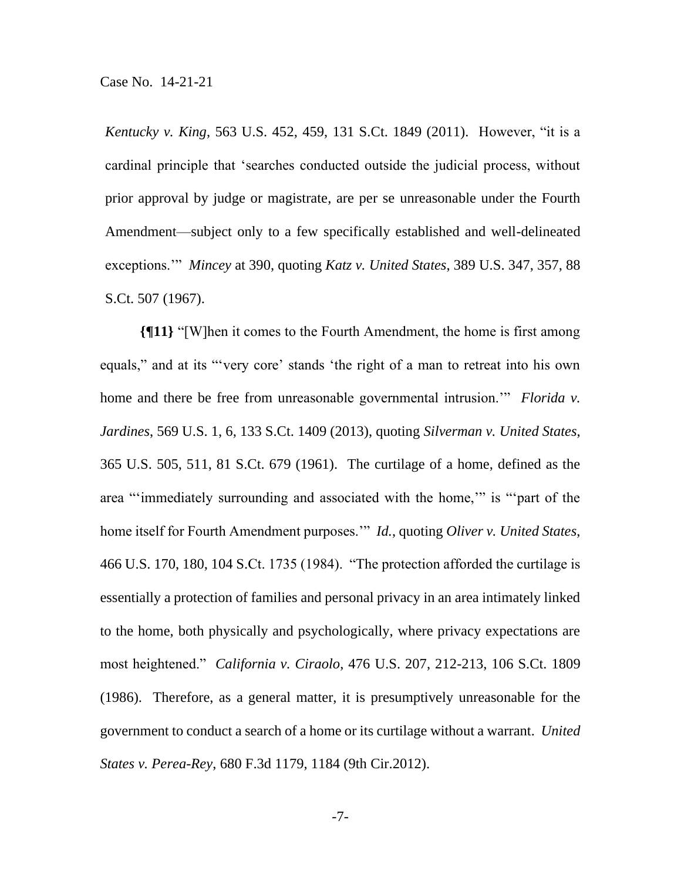*Kentucky v. King*, 563 U.S. 452, 459, 131 S.Ct. 1849 (2011). However, "it is a cardinal principle that 'searches conducted outside the judicial process, without prior approval by judge or magistrate, are per se unreasonable under the Fourth Amendment—subject only to a few specifically established and well-delineated exceptions.'" *Mincey* at 390, quoting *Katz v. United States*, 389 U.S. 347, 357, 88 S.Ct. 507 (1967).

**{¶11}** "[W]hen it comes to the Fourth Amendment, the home is first among equals," and at its "'very core' stands 'the right of a man to retreat into his own home and there be free from unreasonable governmental intrusion.'" *Florida v. Jardines*, 569 U.S. 1, 6, 133 S.Ct. 1409 (2013), quoting *Silverman v. United States*, 365 U.S. 505, 511, 81 S.Ct. 679 (1961). The curtilage of a home, defined as the area "'immediately surrounding and associated with the home,'" is "'part of the home itself for Fourth Amendment purposes.'" *Id.*, quoting *Oliver v. United States*, 466 U.S. 170, 180, 104 S.Ct. 1735 (1984). "The protection afforded the curtilage is essentially a protection of families and personal privacy in an area intimately linked to the home, both physically and psychologically, where privacy expectations are most heightened." *California v. Ciraolo*, 476 U.S. 207, 212-213, 106 S.Ct. 1809 (1986). Therefore, as a general matter, it is presumptively unreasonable for the government to conduct a search of a home or its curtilage without a warrant. *United States v. Perea-Rey*, 680 F.3d 1179, 1184 (9th Cir.2012).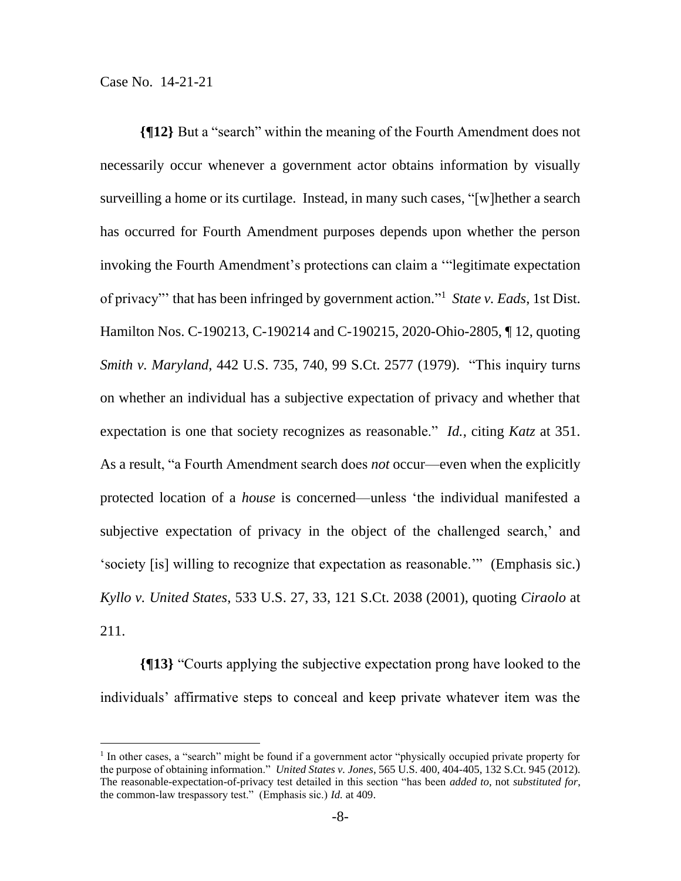**{¶12}** But a "search" within the meaning of the Fourth Amendment does not necessarily occur whenever a government actor obtains information by visually surveilling a home or its curtilage. Instead, in many such cases, "[w]hether a search has occurred for Fourth Amendment purposes depends upon whether the person invoking the Fourth Amendment's protections can claim a '"legitimate expectation of privacy"' that has been infringed by government action." 1 *State v. Eads*, 1st Dist. Hamilton Nos. C-190213, C-190214 and C-190215, 2020-Ohio-2805, ¶ 12, quoting *Smith v. Maryland*, 442 U.S. 735, 740, 99 S.Ct. 2577 (1979). "This inquiry turns on whether an individual has a subjective expectation of privacy and whether that expectation is one that society recognizes as reasonable." *Id.*, citing *Katz* at 351. As a result, "a Fourth Amendment search does *not* occur—even when the explicitly protected location of a *house* is concerned—unless 'the individual manifested a subjective expectation of privacy in the object of the challenged search,' and 'society [is] willing to recognize that expectation as reasonable.'" (Emphasis sic.) *Kyllo v. United States*, 533 U.S. 27, 33, 121 S.Ct. 2038 (2001), quoting *Ciraolo* at 211.

**{¶13}** "Courts applying the subjective expectation prong have looked to the individuals' affirmative steps to conceal and keep private whatever item was the

<sup>&</sup>lt;sup>1</sup> In other cases, a "search" might be found if a government actor "physically occupied private property for the purpose of obtaining information." *United States v. Jones*, 565 U.S. 400, 404-405, 132 S.Ct. 945 (2012). The reasonable-expectation-of-privacy test detailed in this section "has been *added to*, not *substituted for*, the common-law trespassory test." (Emphasis sic.) *Id.* at 409.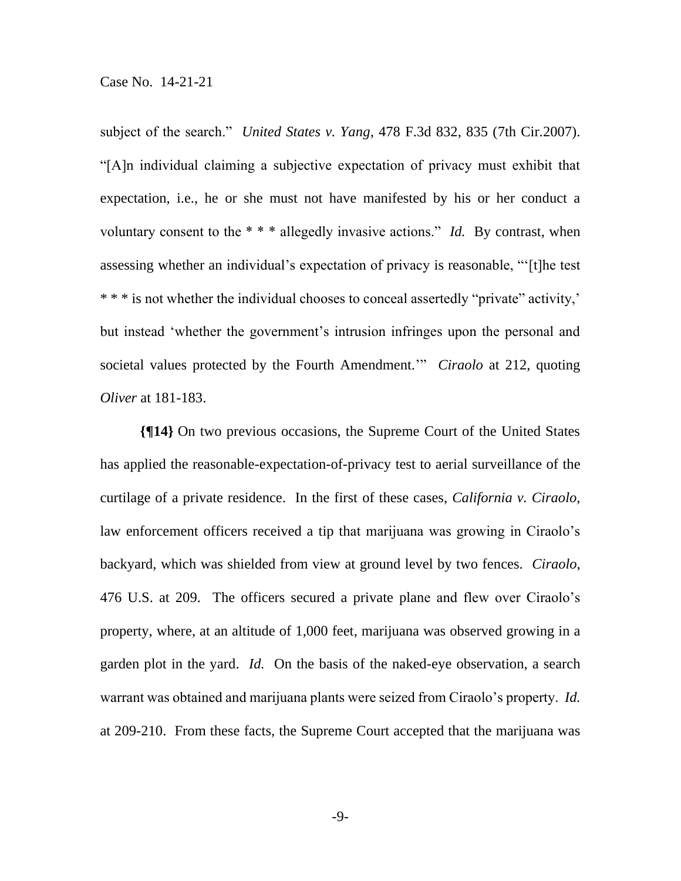subject of the search." *United States v. Yang*, 478 F.3d 832, 835 (7th Cir.2007). "[A]n individual claiming a subjective expectation of privacy must exhibit that expectation, i.e., he or she must not have manifested by his or her conduct a voluntary consent to the \* \* \* allegedly invasive actions." *Id.* By contrast, when assessing whether an individual's expectation of privacy is reasonable, "'[t]he test \* \* \* is not whether the individual chooses to conceal assertedly "private" activity,' but instead 'whether the government's intrusion infringes upon the personal and societal values protected by the Fourth Amendment.'" *Ciraolo* at 212, quoting *Oliver* at 181-183.

**{¶14}** On two previous occasions, the Supreme Court of the United States has applied the reasonable-expectation-of-privacy test to aerial surveillance of the curtilage of a private residence. In the first of these cases, *California v. Ciraolo*, law enforcement officers received a tip that marijuana was growing in Ciraolo's backyard, which was shielded from view at ground level by two fences. *Ciraolo*, 476 U.S. at 209. The officers secured a private plane and flew over Ciraolo's property, where, at an altitude of 1,000 feet, marijuana was observed growing in a garden plot in the yard. *Id.* On the basis of the naked-eye observation, a search warrant was obtained and marijuana plants were seized from Ciraolo's property. *Id.* at 209-210. From these facts, the Supreme Court accepted that the marijuana was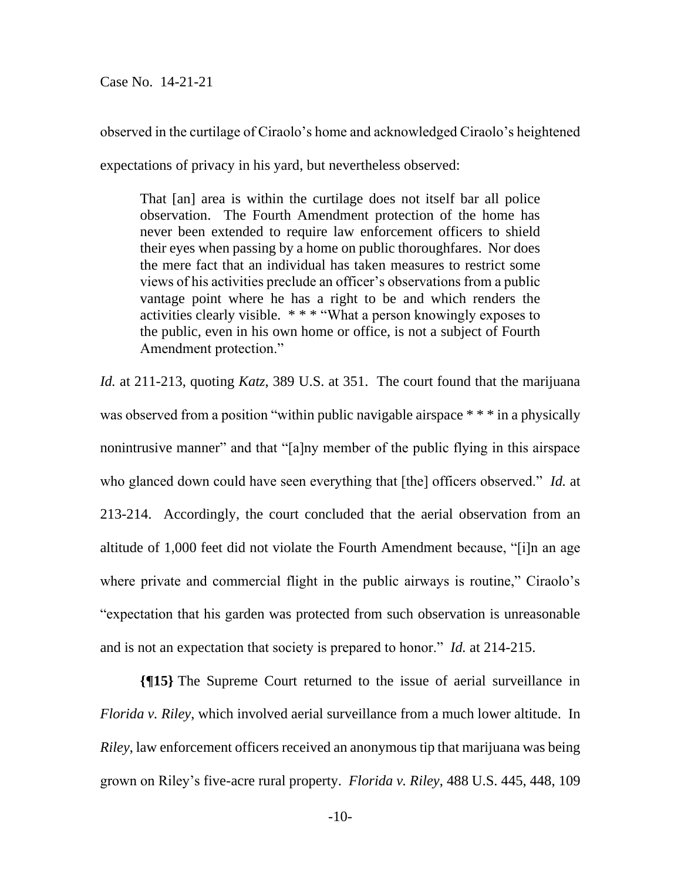observed in the curtilage of Ciraolo's home and acknowledged Ciraolo's heightened

expectations of privacy in his yard, but nevertheless observed:

That [an] area is within the curtilage does not itself bar all police observation. The Fourth Amendment protection of the home has never been extended to require law enforcement officers to shield their eyes when passing by a home on public thoroughfares. Nor does the mere fact that an individual has taken measures to restrict some views of his activities preclude an officer's observations from a public vantage point where he has a right to be and which renders the activities clearly visible. \* \* \* "What a person knowingly exposes to the public, even in his own home or office, is not a subject of Fourth Amendment protection."

*Id.* at 211-213, quoting *Katz*, 389 U.S. at 351. The court found that the marijuana was observed from a position "within public navigable airspace \* \* \* in a physically nonintrusive manner" and that "[a]ny member of the public flying in this airspace who glanced down could have seen everything that [the] officers observed." *Id.* at 213-214. Accordingly, the court concluded that the aerial observation from an altitude of 1,000 feet did not violate the Fourth Amendment because, "[i]n an age where private and commercial flight in the public airways is routine," Ciraolo's "expectation that his garden was protected from such observation is unreasonable and is not an expectation that society is prepared to honor." *Id.* at 214-215.

**{¶15}** The Supreme Court returned to the issue of aerial surveillance in *Florida v. Riley*, which involved aerial surveillance from a much lower altitude. In *Riley*, law enforcement officers received an anonymous tip that marijuana was being grown on Riley's five-acre rural property. *Florida v. Riley*, 488 U.S. 445, 448, 109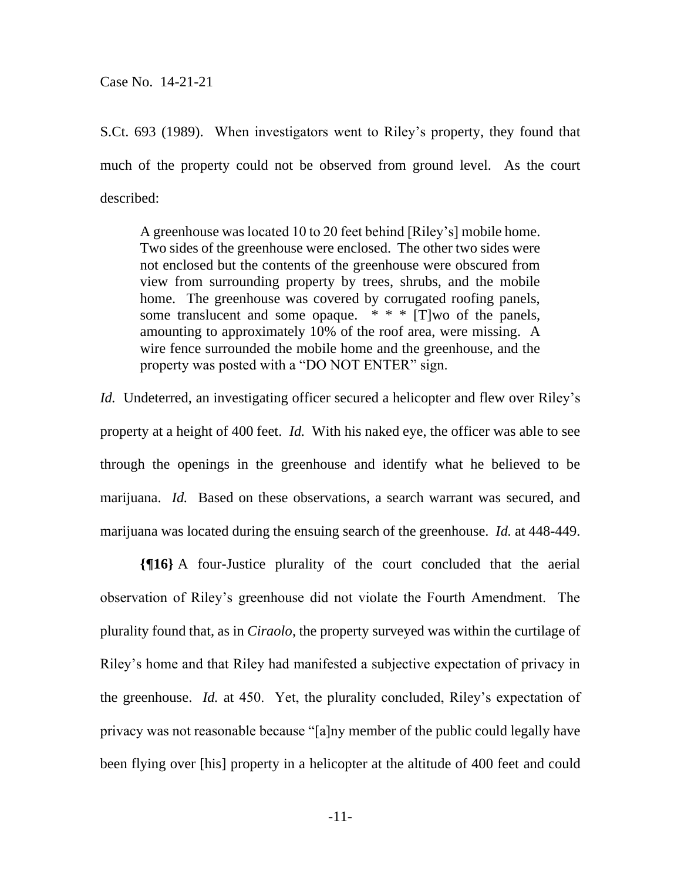S.Ct. 693 (1989). When investigators went to Riley's property, they found that much of the property could not be observed from ground level. As the court described:

A greenhouse was located 10 to 20 feet behind [Riley's] mobile home. Two sides of the greenhouse were enclosed. The other two sides were not enclosed but the contents of the greenhouse were obscured from view from surrounding property by trees, shrubs, and the mobile home. The greenhouse was covered by corrugated roofing panels, some translucent and some opaque.  $* * * [T]$  wo of the panels, amounting to approximately 10% of the roof area, were missing. A wire fence surrounded the mobile home and the greenhouse, and the property was posted with a "DO NOT ENTER" sign.

*Id.* Undeterred, an investigating officer secured a helicopter and flew over Riley's property at a height of 400 feet. *Id.* With his naked eye, the officer was able to see through the openings in the greenhouse and identify what he believed to be marijuana. *Id.* Based on these observations, a search warrant was secured, and marijuana was located during the ensuing search of the greenhouse. *Id.* at 448-449.

**{¶16}** A four-Justice plurality of the court concluded that the aerial observation of Riley's greenhouse did not violate the Fourth Amendment. The plurality found that, as in *Ciraolo*, the property surveyed was within the curtilage of Riley's home and that Riley had manifested a subjective expectation of privacy in the greenhouse. *Id.* at 450. Yet, the plurality concluded, Riley's expectation of privacy was not reasonable because "[a]ny member of the public could legally have been flying over [his] property in a helicopter at the altitude of 400 feet and could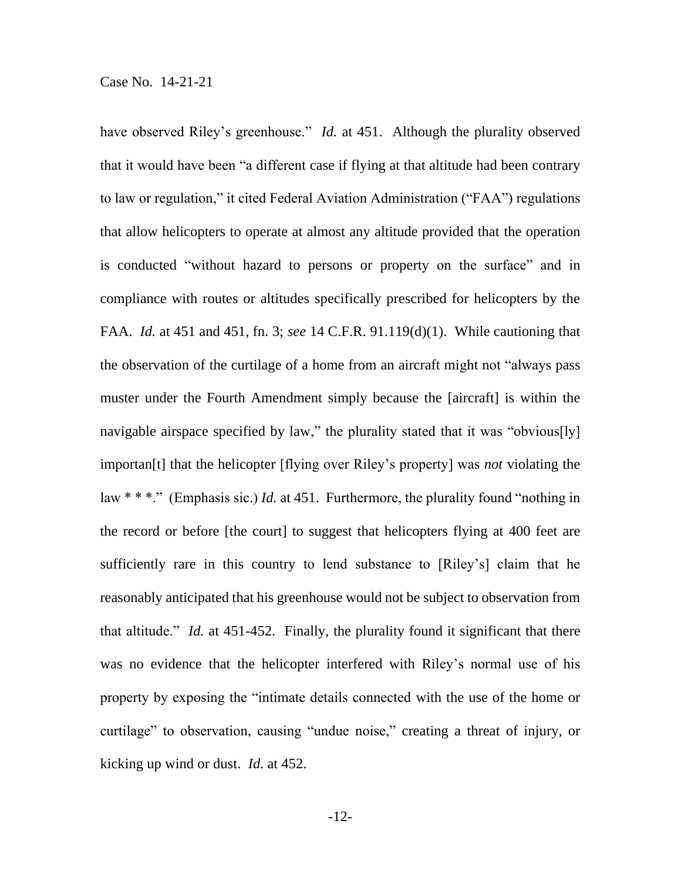have observed Riley's greenhouse." *Id.* at 451. Although the plurality observed that it would have been "a different case if flying at that altitude had been contrary to law or regulation," it cited Federal Aviation Administration ("FAA") regulations that allow helicopters to operate at almost any altitude provided that the operation is conducted "without hazard to persons or property on the surface" and in compliance with routes or altitudes specifically prescribed for helicopters by the FAA. *Id.* at 451 and 451, fn. 3; *see* 14 C.F.R. 91.119(d)(1). While cautioning that the observation of the curtilage of a home from an aircraft might not "always pass muster under the Fourth Amendment simply because the [aircraft] is within the navigable airspace specified by law," the plurality stated that it was "obvious[ly] importan[t] that the helicopter [flying over Riley's property] was *not* violating the law \* \* \*." (Emphasis sic.) *Id.* at 451. Furthermore, the plurality found "nothing in the record or before [the court] to suggest that helicopters flying at 400 feet are sufficiently rare in this country to lend substance to [Riley's] claim that he reasonably anticipated that his greenhouse would not be subject to observation from that altitude." *Id.* at 451-452. Finally, the plurality found it significant that there was no evidence that the helicopter interfered with Riley's normal use of his property by exposing the "intimate details connected with the use of the home or curtilage" to observation, causing "undue noise," creating a threat of injury, or kicking up wind or dust. *Id.* at 452.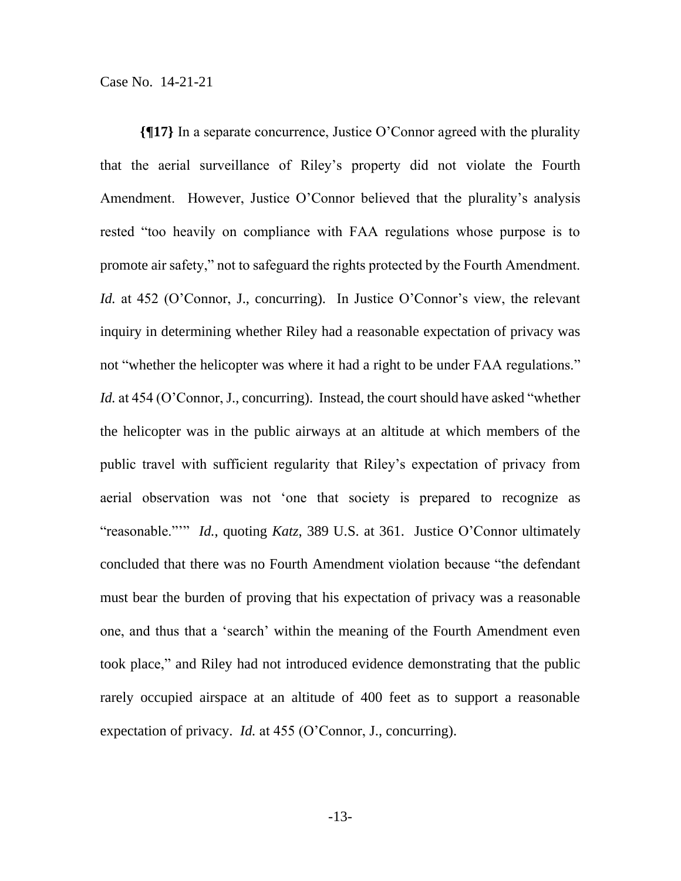**{¶17}** In a separate concurrence, Justice O'Connor agreed with the plurality that the aerial surveillance of Riley's property did not violate the Fourth Amendment. However, Justice O'Connor believed that the plurality's analysis rested "too heavily on compliance with FAA regulations whose purpose is to promote air safety," not to safeguard the rights protected by the Fourth Amendment. *Id.* at 452 (O'Connor, J., concurring). In Justice O'Connor's view, the relevant inquiry in determining whether Riley had a reasonable expectation of privacy was not "whether the helicopter was where it had a right to be under FAA regulations." *Id.* at 454 (O'Connor, J., concurring). Instead, the court should have asked "whether the helicopter was in the public airways at an altitude at which members of the public travel with sufficient regularity that Riley's expectation of privacy from aerial observation was not 'one that society is prepared to recognize as "reasonable."'" *Id.*, quoting *Katz*, 389 U.S. at 361. Justice O'Connor ultimately concluded that there was no Fourth Amendment violation because "the defendant must bear the burden of proving that his expectation of privacy was a reasonable one, and thus that a 'search' within the meaning of the Fourth Amendment even took place," and Riley had not introduced evidence demonstrating that the public rarely occupied airspace at an altitude of 400 feet as to support a reasonable expectation of privacy. *Id.* at 455 (O'Connor, J., concurring).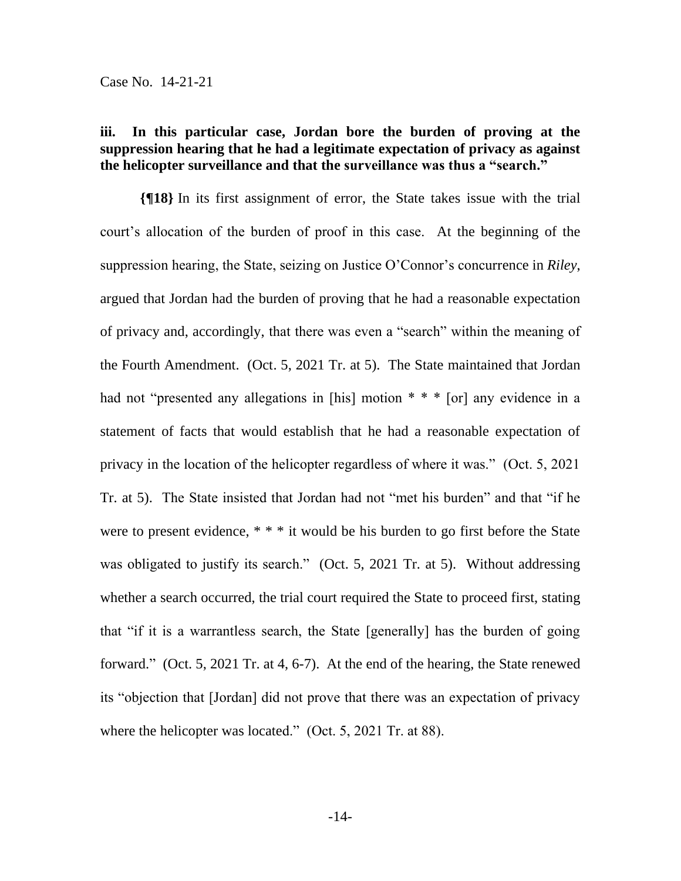## **iii. In this particular case, Jordan bore the burden of proving at the suppression hearing that he had a legitimate expectation of privacy as against the helicopter surveillance and that the surveillance was thus a "search."**

**{¶18}** In its first assignment of error, the State takes issue with the trial court's allocation of the burden of proof in this case. At the beginning of the suppression hearing, the State, seizing on Justice O'Connor's concurrence in *Riley*, argued that Jordan had the burden of proving that he had a reasonable expectation of privacy and, accordingly, that there was even a "search" within the meaning of the Fourth Amendment. (Oct. 5, 2021 Tr. at 5). The State maintained that Jordan had not "presented any allegations in [his] motion \* \* \* [or] any evidence in a statement of facts that would establish that he had a reasonable expectation of privacy in the location of the helicopter regardless of where it was." (Oct. 5, 2021 Tr. at 5). The State insisted that Jordan had not "met his burden" and that "if he were to present evidence, \* \* \* it would be his burden to go first before the State was obligated to justify its search." (Oct. 5, 2021 Tr. at 5). Without addressing whether a search occurred, the trial court required the State to proceed first, stating that "if it is a warrantless search, the State [generally] has the burden of going forward." (Oct. 5, 2021 Tr. at 4, 6-7). At the end of the hearing, the State renewed its "objection that [Jordan] did not prove that there was an expectation of privacy where the helicopter was located." (Oct. 5, 2021 Tr. at 88).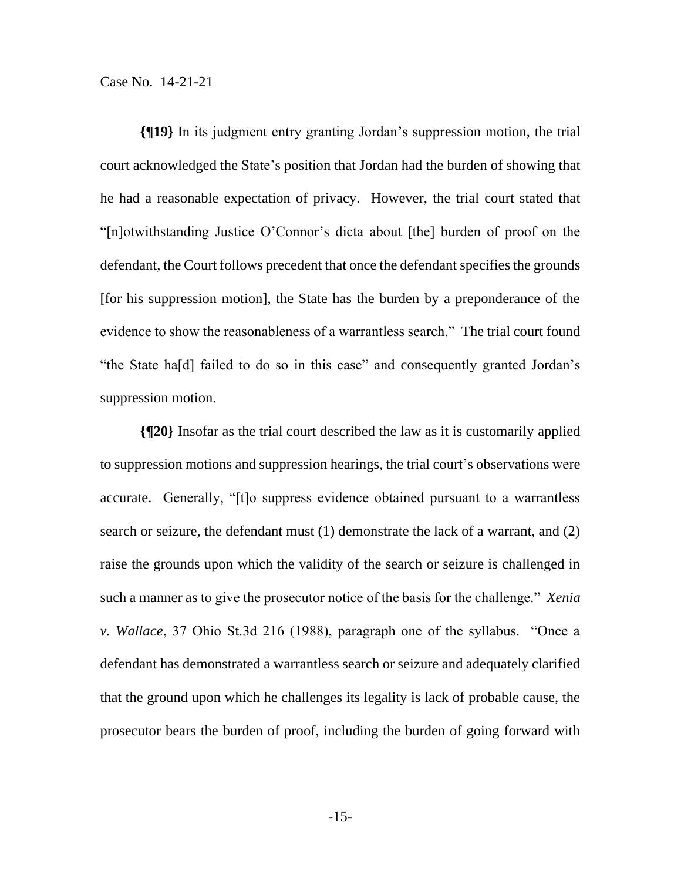**{¶19}** In its judgment entry granting Jordan's suppression motion, the trial court acknowledged the State's position that Jordan had the burden of showing that he had a reasonable expectation of privacy. However, the trial court stated that "[n]otwithstanding Justice O'Connor's dicta about [the] burden of proof on the defendant, the Court follows precedent that once the defendant specifies the grounds [for his suppression motion], the State has the burden by a preponderance of the evidence to show the reasonableness of a warrantless search." The trial court found "the State ha[d] failed to do so in this case" and consequently granted Jordan's suppression motion.

**{¶20}** Insofar as the trial court described the law as it is customarily applied to suppression motions and suppression hearings, the trial court's observations were accurate. Generally, "[t]o suppress evidence obtained pursuant to a warrantless search or seizure, the defendant must (1) demonstrate the lack of a warrant, and (2) raise the grounds upon which the validity of the search or seizure is challenged in such a manner as to give the prosecutor notice of the basis for the challenge." *Xenia v. Wallace*, 37 Ohio St.3d 216 (1988), paragraph one of the syllabus. "Once a defendant has demonstrated a warrantless search or seizure and adequately clarified that the ground upon which he challenges its legality is lack of probable cause, the prosecutor bears the burden of proof, including the burden of going forward with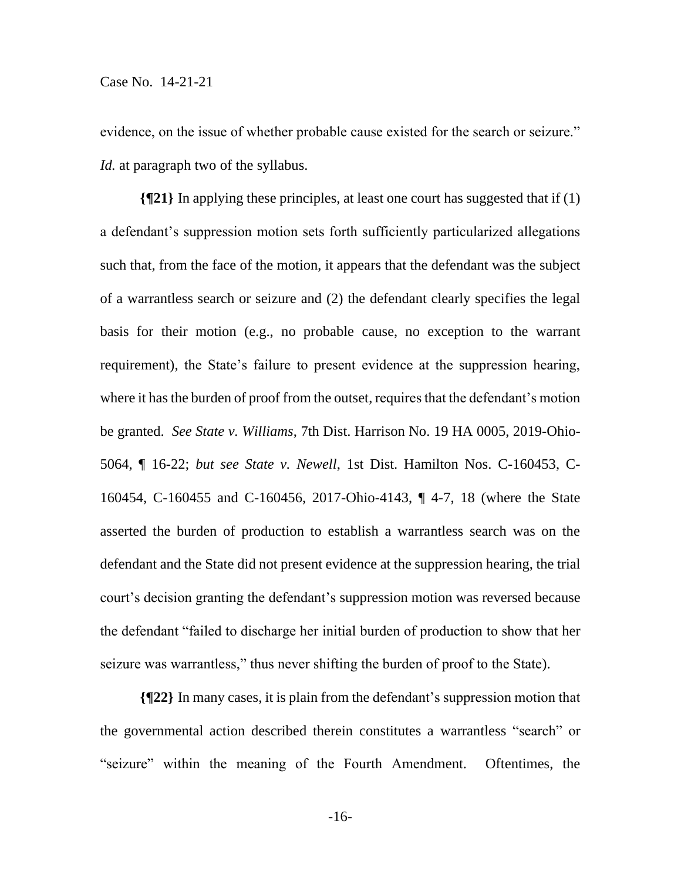evidence, on the issue of whether probable cause existed for the search or seizure." *Id.* at paragraph two of the syllabus.

**{¶21}** In applying these principles, at least one court has suggested that if (1) a defendant's suppression motion sets forth sufficiently particularized allegations such that, from the face of the motion, it appears that the defendant was the subject of a warrantless search or seizure and (2) the defendant clearly specifies the legal basis for their motion (e.g., no probable cause, no exception to the warrant requirement), the State's failure to present evidence at the suppression hearing, where it has the burden of proof from the outset, requires that the defendant's motion be granted. *See State v. Williams*, 7th Dist. Harrison No. 19 HA 0005, 2019-Ohio-5064, ¶ 16-22; *but see State v. Newell*, 1st Dist. Hamilton Nos. C-160453, C-160454, C-160455 and C-160456, 2017-Ohio-4143, ¶ 4-7, 18 (where the State asserted the burden of production to establish a warrantless search was on the defendant and the State did not present evidence at the suppression hearing, the trial court's decision granting the defendant's suppression motion was reversed because the defendant "failed to discharge her initial burden of production to show that her seizure was warrantless," thus never shifting the burden of proof to the State).

**{¶22}** In many cases, it is plain from the defendant's suppression motion that the governmental action described therein constitutes a warrantless "search" or "seizure" within the meaning of the Fourth Amendment. Oftentimes, the

-16-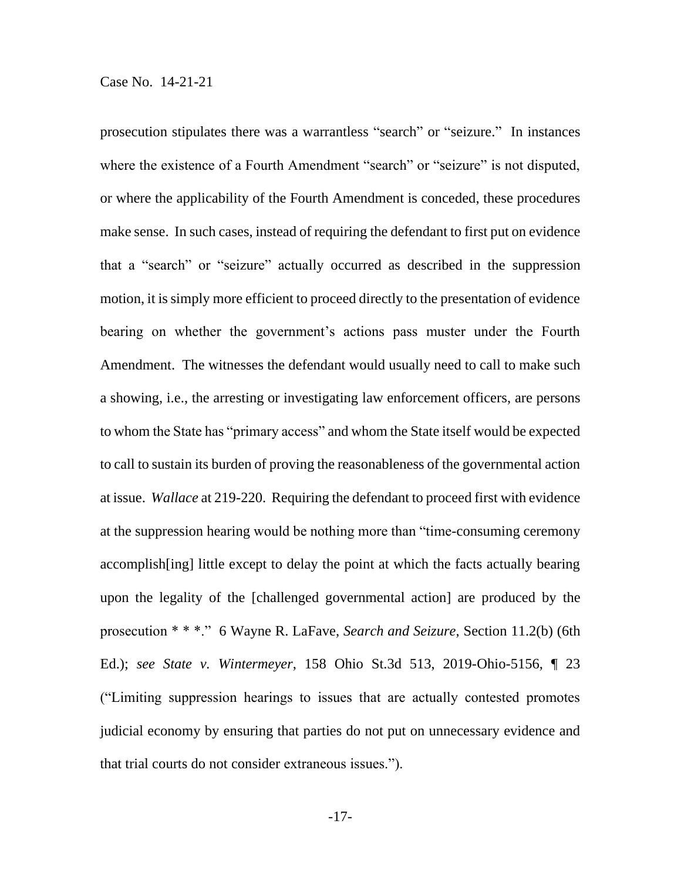prosecution stipulates there was a warrantless "search" or "seizure." In instances where the existence of a Fourth Amendment "search" or "seizure" is not disputed, or where the applicability of the Fourth Amendment is conceded, these procedures make sense. In such cases, instead of requiring the defendant to first put on evidence that a "search" or "seizure" actually occurred as described in the suppression motion, it is simply more efficient to proceed directly to the presentation of evidence bearing on whether the government's actions pass muster under the Fourth Amendment. The witnesses the defendant would usually need to call to make such a showing, i.e., the arresting or investigating law enforcement officers, are persons to whom the State has "primary access" and whom the State itself would be expected to call to sustain its burden of proving the reasonableness of the governmental action at issue. *Wallace* at 219-220. Requiring the defendant to proceed first with evidence at the suppression hearing would be nothing more than "time-consuming ceremony accomplish[ing] little except to delay the point at which the facts actually bearing upon the legality of the [challenged governmental action] are produced by the prosecution \* \* \*." 6 Wayne R. LaFave, *Search and Seizure*, Section 11.2(b) (6th Ed.); *see State v. Wintermeyer*, 158 Ohio St.3d 513, 2019-Ohio-5156, ¶ 23 ("Limiting suppression hearings to issues that are actually contested promotes judicial economy by ensuring that parties do not put on unnecessary evidence and that trial courts do not consider extraneous issues.").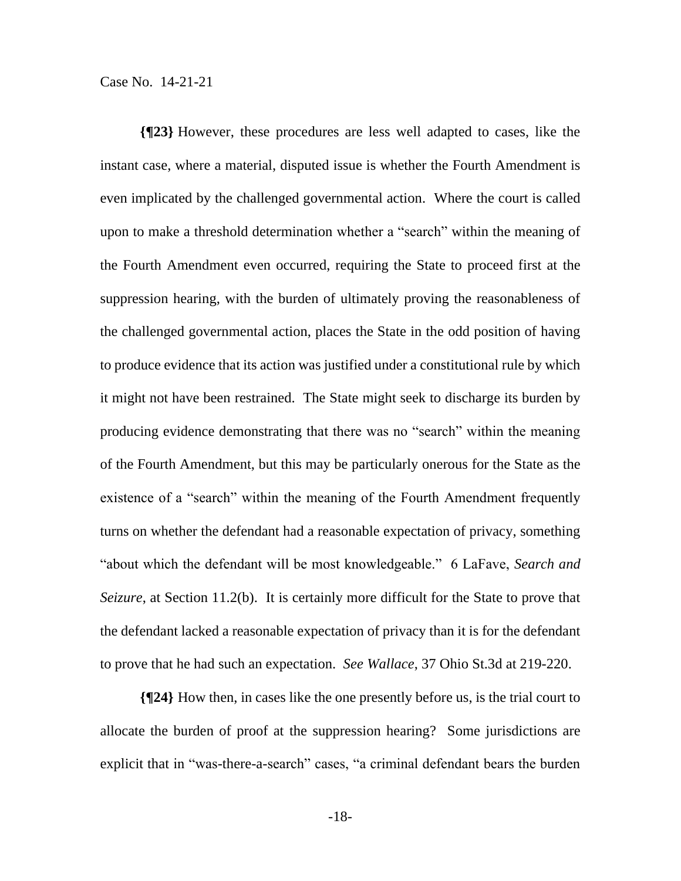**{¶23}** However, these procedures are less well adapted to cases, like the instant case, where a material, disputed issue is whether the Fourth Amendment is even implicated by the challenged governmental action. Where the court is called upon to make a threshold determination whether a "search" within the meaning of the Fourth Amendment even occurred, requiring the State to proceed first at the suppression hearing, with the burden of ultimately proving the reasonableness of the challenged governmental action, places the State in the odd position of having to produce evidence that its action was justified under a constitutional rule by which it might not have been restrained. The State might seek to discharge its burden by producing evidence demonstrating that there was no "search" within the meaning of the Fourth Amendment, but this may be particularly onerous for the State as the existence of a "search" within the meaning of the Fourth Amendment frequently turns on whether the defendant had a reasonable expectation of privacy, something "about which the defendant will be most knowledgeable." 6 LaFave, *Search and Seizure*, at Section 11.2(b). It is certainly more difficult for the State to prove that the defendant lacked a reasonable expectation of privacy than it is for the defendant to prove that he had such an expectation. *See Wallace*, 37 Ohio St.3d at 219-220.

**{¶24}** How then, in cases like the one presently before us, is the trial court to allocate the burden of proof at the suppression hearing? Some jurisdictions are explicit that in "was-there-a-search" cases, "a criminal defendant bears the burden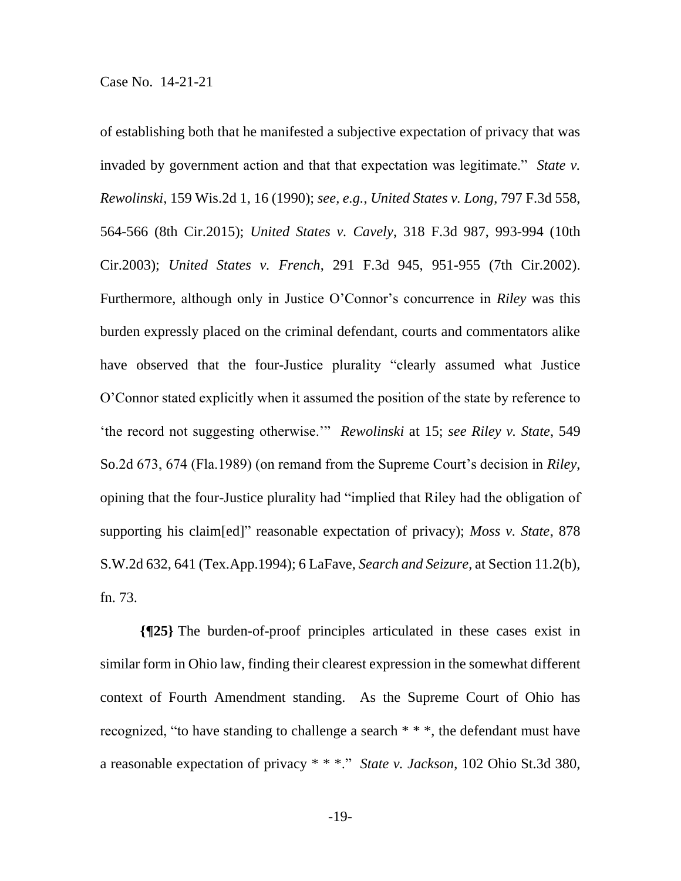of establishing both that he manifested a subjective expectation of privacy that was invaded by government action and that that expectation was legitimate." *State v. Rewolinski*, 159 Wis.2d 1, 16 (1990); *see, e.g.*, *United States v. Long*, 797 F.3d 558, 564-566 (8th Cir.2015); *United States v. Cavely*, 318 F.3d 987, 993-994 (10th Cir.2003); *United States v. French*, 291 F.3d 945, 951-955 (7th Cir.2002). Furthermore, although only in Justice O'Connor's concurrence in *Riley* was this burden expressly placed on the criminal defendant, courts and commentators alike have observed that the four-Justice plurality "clearly assumed what Justice O'Connor stated explicitly when it assumed the position of the state by reference to 'the record not suggesting otherwise.'" *Rewolinski* at 15; *see Riley v. State*, 549 So.2d 673, 674 (Fla.1989) (on remand from the Supreme Court's decision in *Riley*, opining that the four-Justice plurality had "implied that Riley had the obligation of supporting his claim[ed]" reasonable expectation of privacy); *Moss v. State*, 878 S.W.2d 632, 641 (Tex.App.1994); 6 LaFave, *Search and Seizure*, at Section 11.2(b), fn. 73.

**{¶25}** The burden-of-proof principles articulated in these cases exist in similar form in Ohio law, finding their clearest expression in the somewhat different context of Fourth Amendment standing. As the Supreme Court of Ohio has recognized, "to have standing to challenge a search \* \* \*, the defendant must have a reasonable expectation of privacy \* \* \*." *State v. Jackson*, 102 Ohio St.3d 380,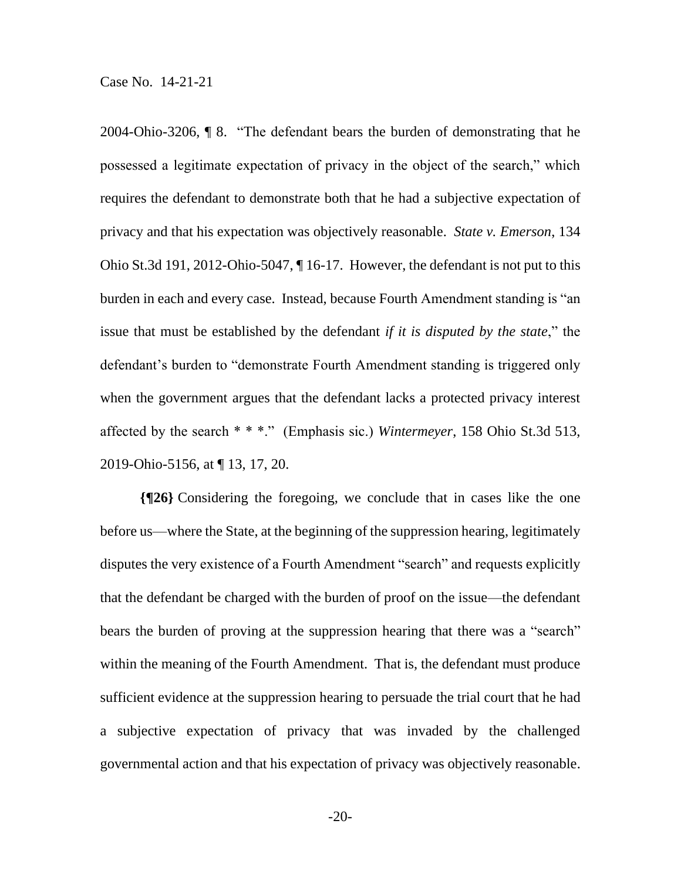2004-Ohio-3206, ¶ 8. "The defendant bears the burden of demonstrating that he possessed a legitimate expectation of privacy in the object of the search," which requires the defendant to demonstrate both that he had a subjective expectation of privacy and that his expectation was objectively reasonable. *State v. Emerson*, 134 Ohio St.3d 191, 2012-Ohio-5047, ¶ 16-17. However, the defendant is not put to this burden in each and every case. Instead, because Fourth Amendment standing is "an issue that must be established by the defendant *if it is disputed by the state*," the defendant's burden to "demonstrate Fourth Amendment standing is triggered only when the government argues that the defendant lacks a protected privacy interest affected by the search \* \* \*." (Emphasis sic.) *Wintermeyer*, 158 Ohio St.3d 513, 2019-Ohio-5156, at ¶ 13, 17, 20.

**{¶26}** Considering the foregoing, we conclude that in cases like the one before us—where the State, at the beginning of the suppression hearing, legitimately disputes the very existence of a Fourth Amendment "search" and requests explicitly that the defendant be charged with the burden of proof on the issue—the defendant bears the burden of proving at the suppression hearing that there was a "search" within the meaning of the Fourth Amendment. That is, the defendant must produce sufficient evidence at the suppression hearing to persuade the trial court that he had a subjective expectation of privacy that was invaded by the challenged governmental action and that his expectation of privacy was objectively reasonable.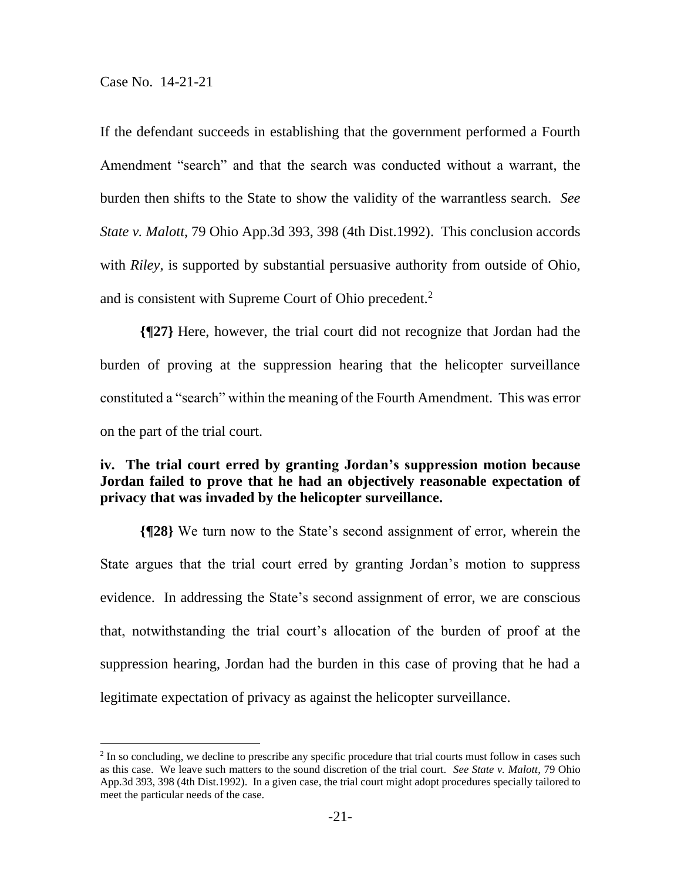If the defendant succeeds in establishing that the government performed a Fourth Amendment "search" and that the search was conducted without a warrant, the burden then shifts to the State to show the validity of the warrantless search. *See State v. Malott*, 79 Ohio App.3d 393, 398 (4th Dist.1992). This conclusion accords with *Riley*, is supported by substantial persuasive authority from outside of Ohio, and is consistent with Supreme Court of Ohio precedent.<sup>2</sup>

**{¶27}** Here, however, the trial court did not recognize that Jordan had the burden of proving at the suppression hearing that the helicopter surveillance constituted a "search" within the meaning of the Fourth Amendment. This was error on the part of the trial court.

## **iv. The trial court erred by granting Jordan's suppression motion because Jordan failed to prove that he had an objectively reasonable expectation of privacy that was invaded by the helicopter surveillance.**

**{¶28}** We turn now to the State's second assignment of error, wherein the State argues that the trial court erred by granting Jordan's motion to suppress evidence. In addressing the State's second assignment of error, we are conscious that, notwithstanding the trial court's allocation of the burden of proof at the suppression hearing, Jordan had the burden in this case of proving that he had a legitimate expectation of privacy as against the helicopter surveillance.

<sup>&</sup>lt;sup>2</sup> In so concluding, we decline to prescribe any specific procedure that trial courts must follow in cases such as this case. We leave such matters to the sound discretion of the trial court. *See State v. Malott*, 79 Ohio App.3d 393, 398 (4th Dist.1992). In a given case, the trial court might adopt procedures specially tailored to meet the particular needs of the case.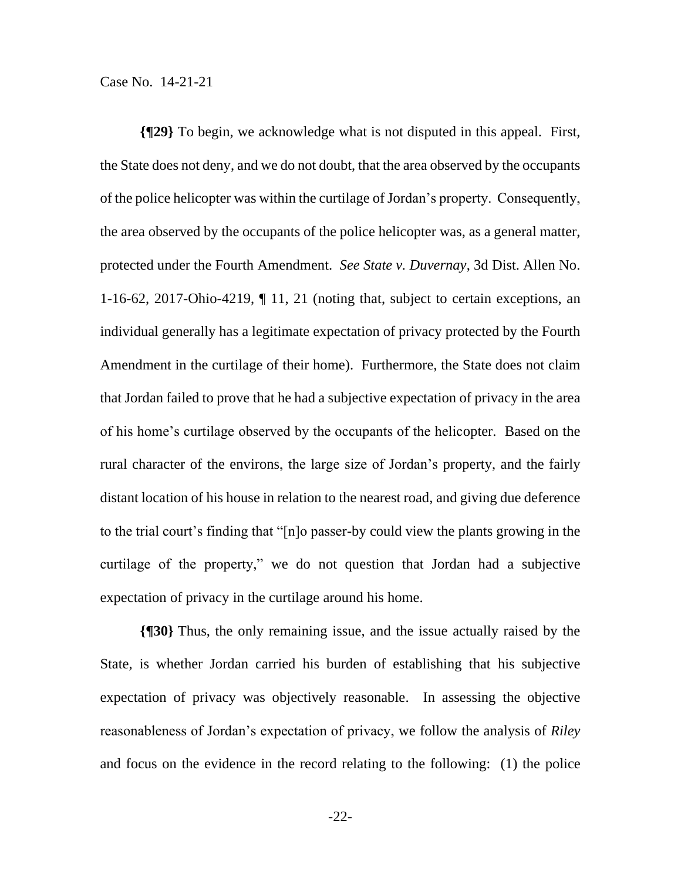**{¶29}** To begin, we acknowledge what is not disputed in this appeal. First, the State does not deny, and we do not doubt, that the area observed by the occupants of the police helicopter was within the curtilage of Jordan's property. Consequently, the area observed by the occupants of the police helicopter was, as a general matter, protected under the Fourth Amendment. *See State v. Duvernay*, 3d Dist. Allen No. 1-16-62, 2017-Ohio-4219, ¶ 11, 21 (noting that, subject to certain exceptions, an individual generally has a legitimate expectation of privacy protected by the Fourth Amendment in the curtilage of their home). Furthermore, the State does not claim that Jordan failed to prove that he had a subjective expectation of privacy in the area of his home's curtilage observed by the occupants of the helicopter. Based on the rural character of the environs, the large size of Jordan's property, and the fairly distant location of his house in relation to the nearest road, and giving due deference to the trial court's finding that "[n]o passer-by could view the plants growing in the curtilage of the property," we do not question that Jordan had a subjective expectation of privacy in the curtilage around his home.

**{¶30}** Thus, the only remaining issue, and the issue actually raised by the State, is whether Jordan carried his burden of establishing that his subjective expectation of privacy was objectively reasonable. In assessing the objective reasonableness of Jordan's expectation of privacy, we follow the analysis of *Riley* and focus on the evidence in the record relating to the following: (1) the police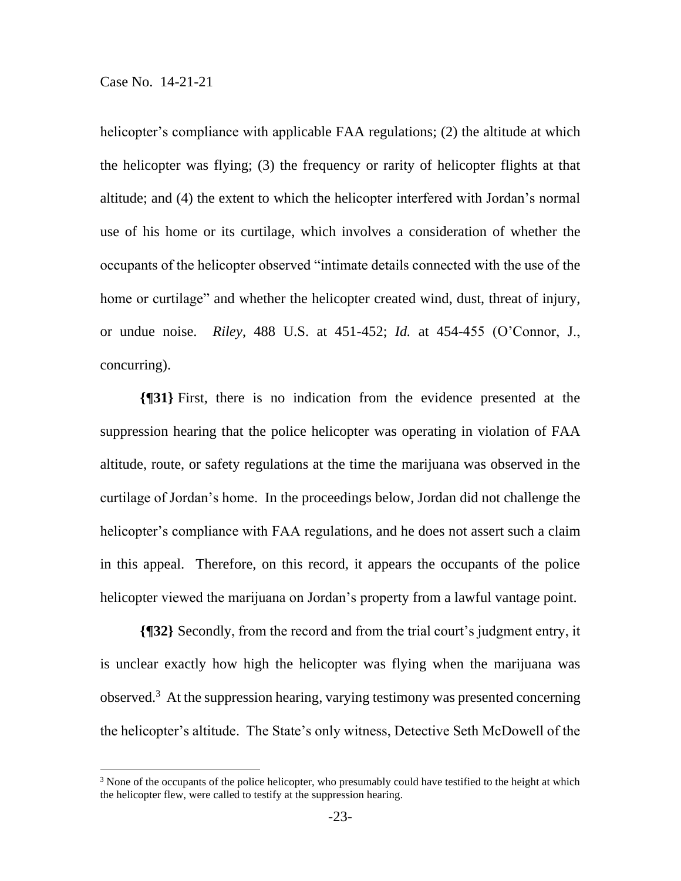helicopter's compliance with applicable FAA regulations; (2) the altitude at which the helicopter was flying; (3) the frequency or rarity of helicopter flights at that altitude; and (4) the extent to which the helicopter interfered with Jordan's normal use of his home or its curtilage, which involves a consideration of whether the occupants of the helicopter observed "intimate details connected with the use of the home or curtilage" and whether the helicopter created wind, dust, threat of injury, or undue noise. *Riley*, 488 U.S. at 451-452; *Id.* at 454-455 (O'Connor, J., concurring).

**{¶31}** First, there is no indication from the evidence presented at the suppression hearing that the police helicopter was operating in violation of FAA altitude, route, or safety regulations at the time the marijuana was observed in the curtilage of Jordan's home. In the proceedings below, Jordan did not challenge the helicopter's compliance with FAA regulations, and he does not assert such a claim in this appeal. Therefore, on this record, it appears the occupants of the police helicopter viewed the marijuana on Jordan's property from a lawful vantage point.

**{¶32}** Secondly, from the record and from the trial court's judgment entry, it is unclear exactly how high the helicopter was flying when the marijuana was observed.<sup>3</sup> At the suppression hearing, varying testimony was presented concerning the helicopter's altitude. The State's only witness, Detective Seth McDowell of the

 $3$  None of the occupants of the police helicopter, who presumably could have testified to the height at which the helicopter flew, were called to testify at the suppression hearing.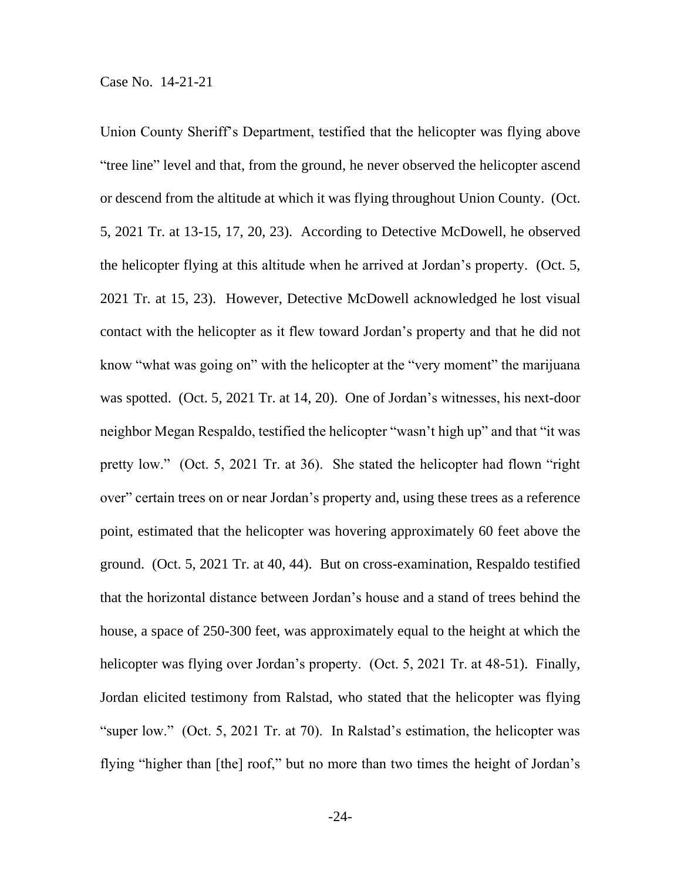Union County Sheriff's Department, testified that the helicopter was flying above "tree line" level and that, from the ground, he never observed the helicopter ascend or descend from the altitude at which it was flying throughout Union County. (Oct. 5, 2021 Tr. at 13-15, 17, 20, 23). According to Detective McDowell, he observed the helicopter flying at this altitude when he arrived at Jordan's property. (Oct. 5, 2021 Tr. at 15, 23). However, Detective McDowell acknowledged he lost visual contact with the helicopter as it flew toward Jordan's property and that he did not know "what was going on" with the helicopter at the "very moment" the marijuana was spotted. (Oct. 5, 2021 Tr. at 14, 20). One of Jordan's witnesses, his next-door neighbor Megan Respaldo, testified the helicopter "wasn't high up" and that "it was pretty low." (Oct. 5, 2021 Tr. at 36). She stated the helicopter had flown "right over" certain trees on or near Jordan's property and, using these trees as a reference point, estimated that the helicopter was hovering approximately 60 feet above the ground. (Oct. 5, 2021 Tr. at 40, 44). But on cross-examination, Respaldo testified that the horizontal distance between Jordan's house and a stand of trees behind the house, a space of 250-300 feet, was approximately equal to the height at which the helicopter was flying over Jordan's property. (Oct. 5, 2021 Tr. at 48-51). Finally, Jordan elicited testimony from Ralstad, who stated that the helicopter was flying "super low." (Oct. 5, 2021 Tr. at 70). In Ralstad's estimation, the helicopter was flying "higher than [the] roof," but no more than two times the height of Jordan's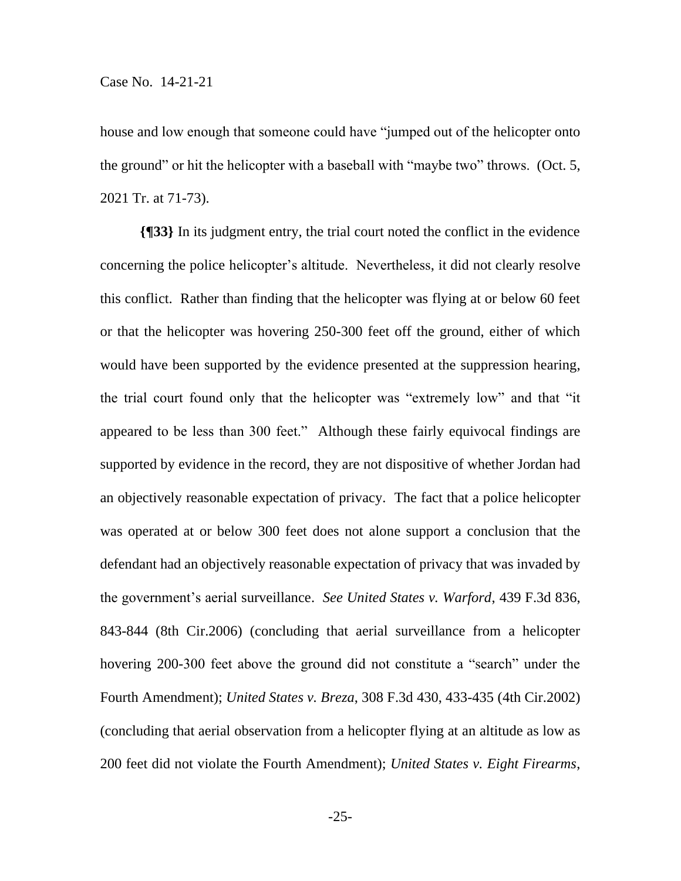house and low enough that someone could have "jumped out of the helicopter onto the ground" or hit the helicopter with a baseball with "maybe two" throws. (Oct. 5, 2021 Tr. at 71-73).

**{¶33}** In its judgment entry, the trial court noted the conflict in the evidence concerning the police helicopter's altitude. Nevertheless, it did not clearly resolve this conflict. Rather than finding that the helicopter was flying at or below 60 feet or that the helicopter was hovering 250-300 feet off the ground, either of which would have been supported by the evidence presented at the suppression hearing, the trial court found only that the helicopter was "extremely low" and that "it appeared to be less than 300 feet." Although these fairly equivocal findings are supported by evidence in the record, they are not dispositive of whether Jordan had an objectively reasonable expectation of privacy. The fact that a police helicopter was operated at or below 300 feet does not alone support a conclusion that the defendant had an objectively reasonable expectation of privacy that was invaded by the government's aerial surveillance. *See United States v. Warford*, 439 F.3d 836, 843-844 (8th Cir.2006) (concluding that aerial surveillance from a helicopter hovering 200-300 feet above the ground did not constitute a "search" under the Fourth Amendment); *United States v. Breza*, 308 F.3d 430, 433-435 (4th Cir.2002) (concluding that aerial observation from a helicopter flying at an altitude as low as 200 feet did not violate the Fourth Amendment); *United States v. Eight Firearms*,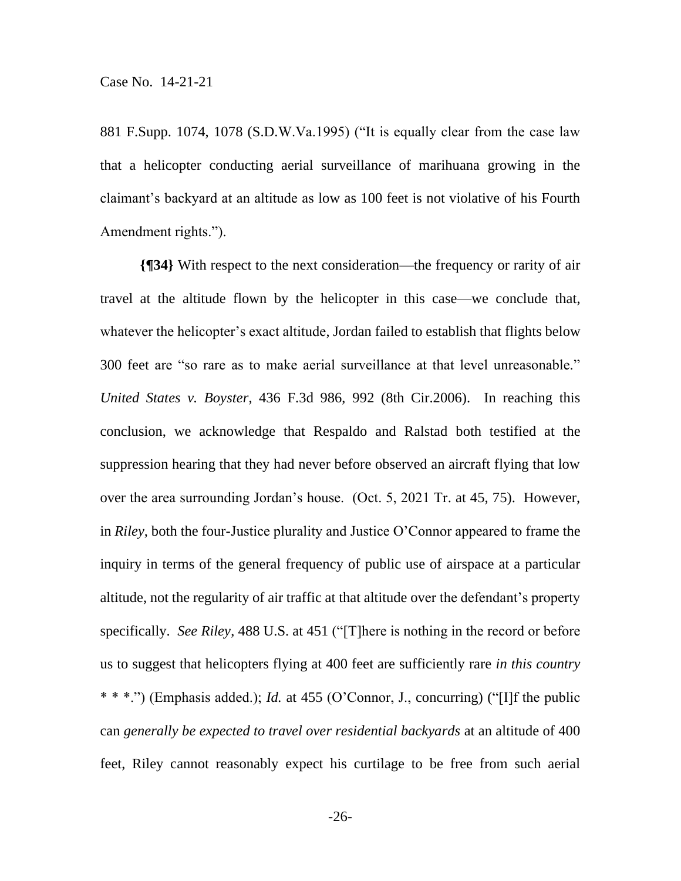881 F.Supp. 1074, 1078 (S.D.W.Va.1995) ("It is equally clear from the case law that a helicopter conducting aerial surveillance of marihuana growing in the claimant's backyard at an altitude as low as 100 feet is not violative of his Fourth Amendment rights.").

**{¶34}** With respect to the next consideration—the frequency or rarity of air travel at the altitude flown by the helicopter in this case—we conclude that, whatever the helicopter's exact altitude, Jordan failed to establish that flights below 300 feet are "so rare as to make aerial surveillance at that level unreasonable." *United States v. Boyster*, 436 F.3d 986, 992 (8th Cir.2006). In reaching this conclusion, we acknowledge that Respaldo and Ralstad both testified at the suppression hearing that they had never before observed an aircraft flying that low over the area surrounding Jordan's house. (Oct. 5, 2021 Tr. at 45, 75). However, in *Riley*, both the four-Justice plurality and Justice O'Connor appeared to frame the inquiry in terms of the general frequency of public use of airspace at a particular altitude, not the regularity of air traffic at that altitude over the defendant's property specifically. *See Riley*, 488 U.S. at 451 ("[T]here is nothing in the record or before us to suggest that helicopters flying at 400 feet are sufficiently rare *in this country* \* \* \*.") (Emphasis added.); *Id.* at 455 (O'Connor, J., concurring) ("[I]f the public can *generally be expected to travel over residential backyards* at an altitude of 400 feet, Riley cannot reasonably expect his curtilage to be free from such aerial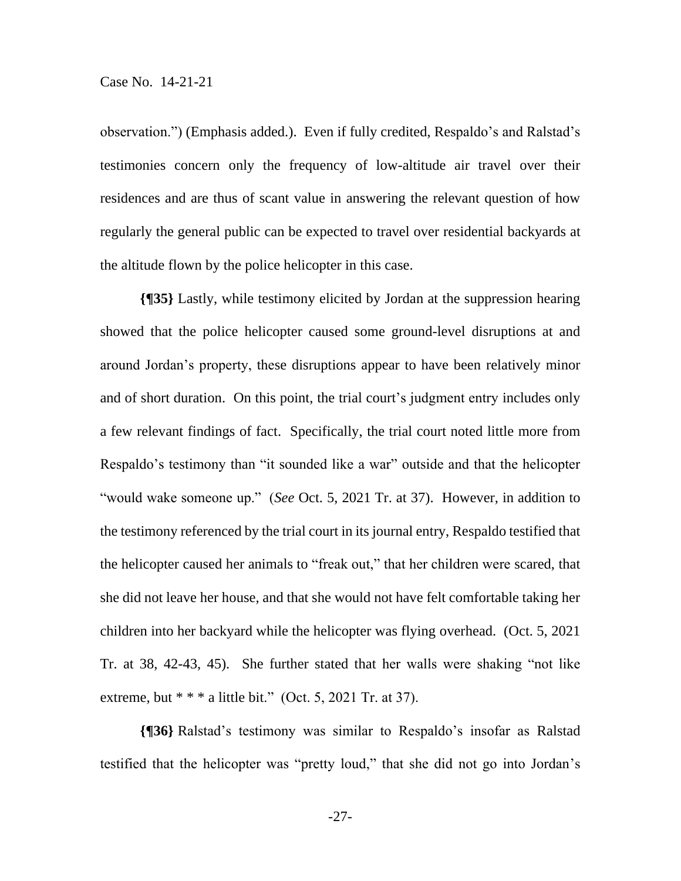observation.") (Emphasis added.). Even if fully credited, Respaldo's and Ralstad's testimonies concern only the frequency of low-altitude air travel over their residences and are thus of scant value in answering the relevant question of how regularly the general public can be expected to travel over residential backyards at the altitude flown by the police helicopter in this case.

**{¶35}** Lastly, while testimony elicited by Jordan at the suppression hearing showed that the police helicopter caused some ground-level disruptions at and around Jordan's property, these disruptions appear to have been relatively minor and of short duration. On this point, the trial court's judgment entry includes only a few relevant findings of fact. Specifically, the trial court noted little more from Respaldo's testimony than "it sounded like a war" outside and that the helicopter "would wake someone up." (*See* Oct. 5, 2021 Tr. at 37). However, in addition to the testimony referenced by the trial court in its journal entry, Respaldo testified that the helicopter caused her animals to "freak out," that her children were scared, that she did not leave her house, and that she would not have felt comfortable taking her children into her backyard while the helicopter was flying overhead. (Oct. 5, 2021 Tr. at 38, 42-43, 45). She further stated that her walls were shaking "not like extreme, but  $* * * a$  little bit." (Oct. 5, 2021 Tr. at 37).

**{¶36}** Ralstad's testimony was similar to Respaldo's insofar as Ralstad testified that the helicopter was "pretty loud," that she did not go into Jordan's

-27-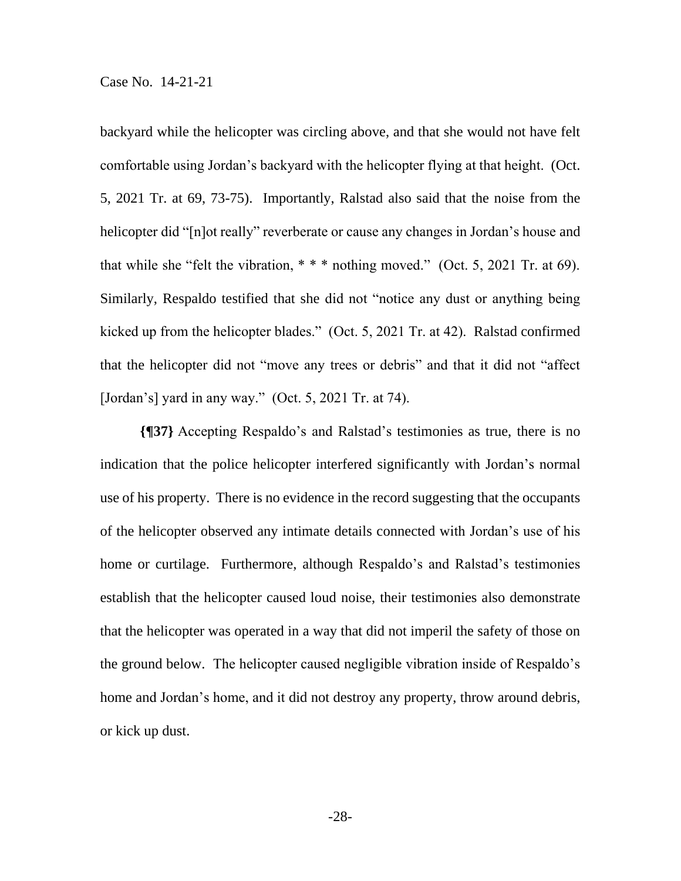backyard while the helicopter was circling above, and that she would not have felt comfortable using Jordan's backyard with the helicopter flying at that height. (Oct. 5, 2021 Tr. at 69, 73-75). Importantly, Ralstad also said that the noise from the helicopter did "[n]ot really" reverberate or cause any changes in Jordan's house and that while she "felt the vibration,  $***$  nothing moved." (Oct. 5, 2021 Tr. at 69). Similarly, Respaldo testified that she did not "notice any dust or anything being kicked up from the helicopter blades." (Oct. 5, 2021 Tr. at 42). Ralstad confirmed that the helicopter did not "move any trees or debris" and that it did not "affect [Jordan's] yard in any way." (Oct. 5, 2021 Tr. at 74).

**{¶37}** Accepting Respaldo's and Ralstad's testimonies as true, there is no indication that the police helicopter interfered significantly with Jordan's normal use of his property. There is no evidence in the record suggesting that the occupants of the helicopter observed any intimate details connected with Jordan's use of his home or curtilage. Furthermore, although Respaldo's and Ralstad's testimonies establish that the helicopter caused loud noise, their testimonies also demonstrate that the helicopter was operated in a way that did not imperil the safety of those on the ground below. The helicopter caused negligible vibration inside of Respaldo's home and Jordan's home, and it did not destroy any property, throw around debris, or kick up dust.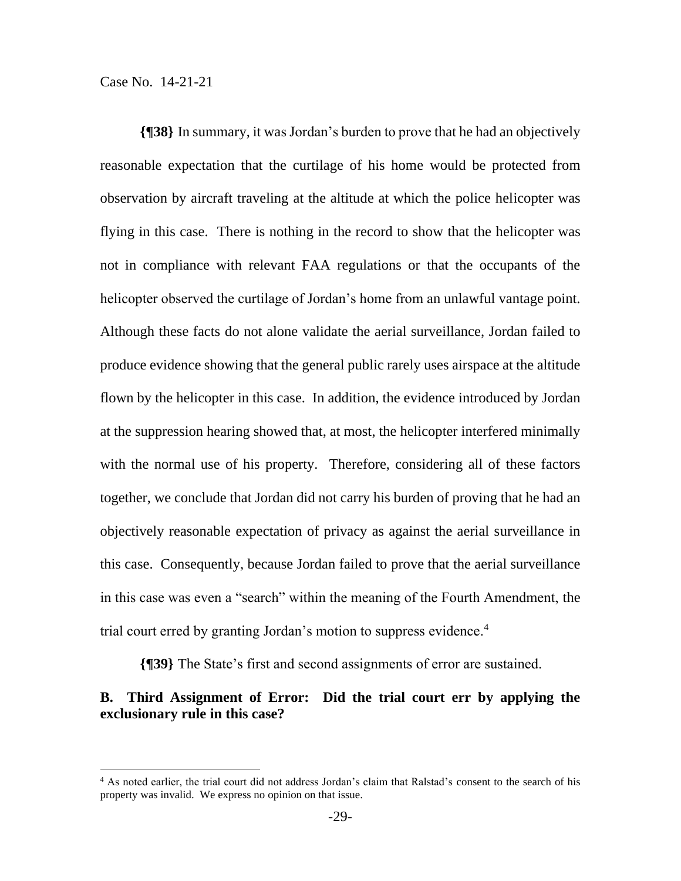**{¶38}** In summary, it was Jordan's burden to prove that he had an objectively reasonable expectation that the curtilage of his home would be protected from observation by aircraft traveling at the altitude at which the police helicopter was flying in this case. There is nothing in the record to show that the helicopter was not in compliance with relevant FAA regulations or that the occupants of the helicopter observed the curtilage of Jordan's home from an unlawful vantage point. Although these facts do not alone validate the aerial surveillance, Jordan failed to produce evidence showing that the general public rarely uses airspace at the altitude flown by the helicopter in this case. In addition, the evidence introduced by Jordan at the suppression hearing showed that, at most, the helicopter interfered minimally with the normal use of his property. Therefore, considering all of these factors together, we conclude that Jordan did not carry his burden of proving that he had an objectively reasonable expectation of privacy as against the aerial surveillance in this case. Consequently, because Jordan failed to prove that the aerial surveillance in this case was even a "search" within the meaning of the Fourth Amendment, the trial court erred by granting Jordan's motion to suppress evidence.<sup>4</sup>

**{¶39}** The State's first and second assignments of error are sustained.

# **B. Third Assignment of Error: Did the trial court err by applying the exclusionary rule in this case?**

<sup>&</sup>lt;sup>4</sup> As noted earlier, the trial court did not address Jordan's claim that Ralstad's consent to the search of his property was invalid. We express no opinion on that issue.